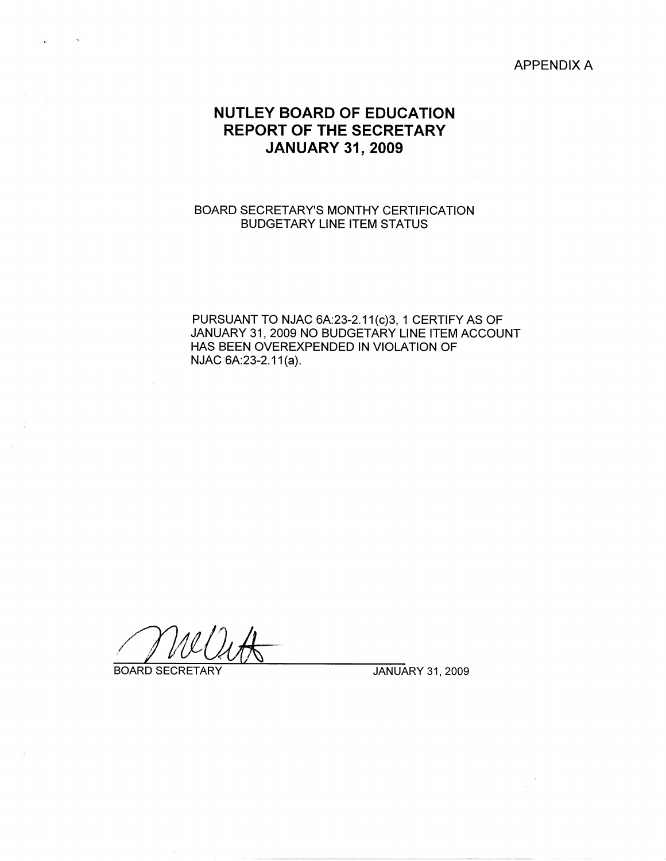### APPENDIX A

# **NUTLEY BOARD OF EDUCATION REPORT OF THE SECRETARY JANUARY 31, 2009**

### BOARD SECRETARY'S MONTHY CERTIFICATION BUDGETARY LINE ITEM STATUS

PURSUANT TO NJAC 6A:23-2.11(c)3, 1 CERTIFY AS OF JANUARY 31, 2009 NO BUDGETARY LINE ITEM ACCOUNT HAS BEEN OVEREXPENDED IN VIOLATION OF NJAC 6A:23-2.11(a).

BOARD SECRETARY JANUARY 31, 2009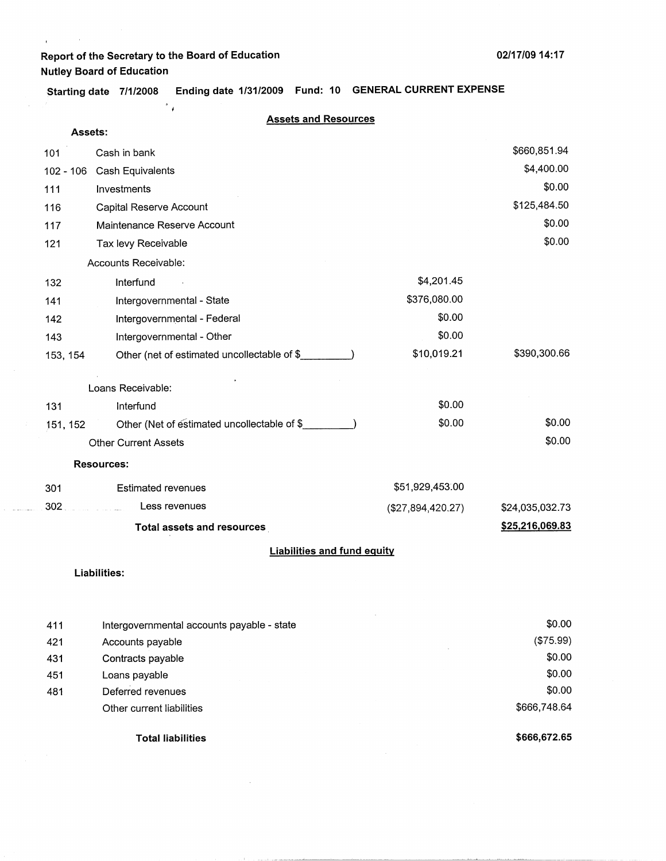$\mathcal{F}_{\mathcal{A}}$ 

**Starting date 7/1/2008 Ending date 1/31/2009 Fund: 10 GENERAL CURRENT EXPENSE** 

 $\mathbf{t}^{(i)}$  and  $\mathbf{t}^{(i)}$ 

#### **Assets and Resources**

| <b>Assets:</b> |                                             |                   |                 |
|----------------|---------------------------------------------|-------------------|-----------------|
| 101            | Cash in bank                                |                   | \$660,851.94    |
| 102 - 106      | Cash Equivalents                            |                   | \$4,400.00      |
| 111            | Investments                                 |                   | \$0.00          |
| 116            | Capital Reserve Account                     |                   | \$125,484.50    |
| 117            | Maintenance Reserve Account                 |                   | \$0.00          |
| 121            | Tax levy Receivable                         |                   | \$0.00          |
|                | Accounts Receivable:                        |                   |                 |
| 132            | Interfund                                   | \$4,201.45        |                 |
| 141            | Intergovernmental - State                   | \$376,080.00      |                 |
| 142            | Intergovernmental - Federal                 | \$0.00            |                 |
| 143            | Intergovernmental - Other                   | \$0.00            |                 |
| 153, 154       | Other (net of estimated uncollectable of \$ | \$10,019.21       | \$390,300.66    |
|                | Loans Receivable:                           |                   |                 |
| 131            | Interfund                                   | \$0.00            |                 |
| 151, 152       | Other (Net of estimated uncollectable of \$ | \$0.00            | \$0.00          |
|                | <b>Other Current Assets</b>                 |                   | \$0.00          |
|                | <b>Resources:</b>                           |                   |                 |
| 301            | <b>Estimated revenues</b>                   | \$51,929,453.00   |                 |
| 302            | Less revenues<br>and the component          | (\$27,894,420.27) | \$24,035,032.73 |
|                | <b>Total assets and resources</b>           |                   | \$25,216,069.83 |
|                | <b>Liabilities and fund equity</b>          |                   |                 |

#### **Liabilities:**

|     | <b>Total liabilities</b>                   | \$666,672.65 |
|-----|--------------------------------------------|--------------|
|     | Other current liabilities                  | \$666,748.64 |
| 481 | Deferred revenues                          | \$0.00       |
| 451 | Loans payable                              | \$0.00       |
| 431 | Contracts payable                          | \$0.00       |
| 421 | Accounts payable                           | (\$75.99)    |
| 411 | Intergovernmental accounts payable - state | \$0.00       |
|     |                                            |              |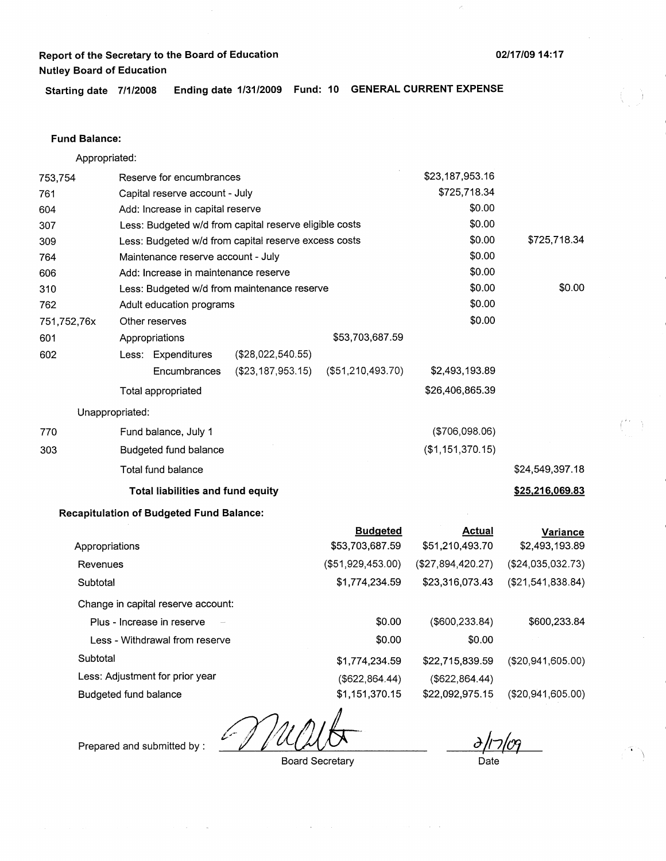\$725,718.34

\$24,549,397.18 **\$25,216,069.83** 

\$0.00

,., I

**Starting date 7/1/2008 Ending date 1/31/2009 Fund: 10 GENERAL CURRENT EXPENSE** 

#### **Fund Balance:**

762

601

602

770 303

Appropriated: 753,754 Reserve for encumbrances Capital reserve account - July Add: Increase in capital reserve Less: Budgeted w/d from capital reserve eligible costs Less: Budgeted w/d from capital reserve excess costs Maintenance reserve account - July Add: Increase in maintenance reserve Less: Budgeted w/d from maintenance reserve \$23,187,953.16 \$725,718.34 \$0.00 \$0.00 \$0.00 \$0.00 \$0.00 \$0.00 751,752,76x Adult education programs  $$0.00$ Other reserves \$0.00 Appropriations Less: Expenditures (\$28,022,540.55) Encumbrances (\$23, 187,953.15) Total appropriated Unappropriated: Fund balance, July 1 Budgeted fund balance Total fund balance **Total liabilities and fund equity Recapitulation of Budgeted Fund Balance:**  \$53,703,687.59 (\$51,210,493.70) **Budgeted**  \$2,493, 193.89 \$26,406,865.39 (\$706,098.06) (\$1,151,370.15) **Actual Variance** 

|                                    | Duuyeleu          | Attual            | variance          |
|------------------------------------|-------------------|-------------------|-------------------|
| Appropriations                     | \$53,703,687.59   | \$51,210,493.70   | \$2,493,193.89    |
| Revenues                           | (\$51,929,453.00) | (\$27,894,420.27) | (\$24,035,032.73) |
| Subtotal                           | \$1,774.234.59    | \$23,316,073.43   | (\$21,541,838.84) |
| Change in capital reserve account: |                   |                   |                   |
| Plus - Increase in reserve         | \$0.00            | $($ \$600,233.84) | \$600,233.84      |
| Less - Withdrawal from reserve     | \$0.00            | \$0.00            |                   |
| Subtotal                           | \$1,774,234.59    | \$22,715,839.59   | (\$20,941,605.00) |
| Less: Adjustment for prior year    | (\$622, 864.44)   | (\$622, 864.44)   |                   |
| Budgeted fund balance              | \$1,151,370.15    | \$22,092,975.15   | (\$20,941,605.00) |

Prepared and submitted by :

Board Secretary

Date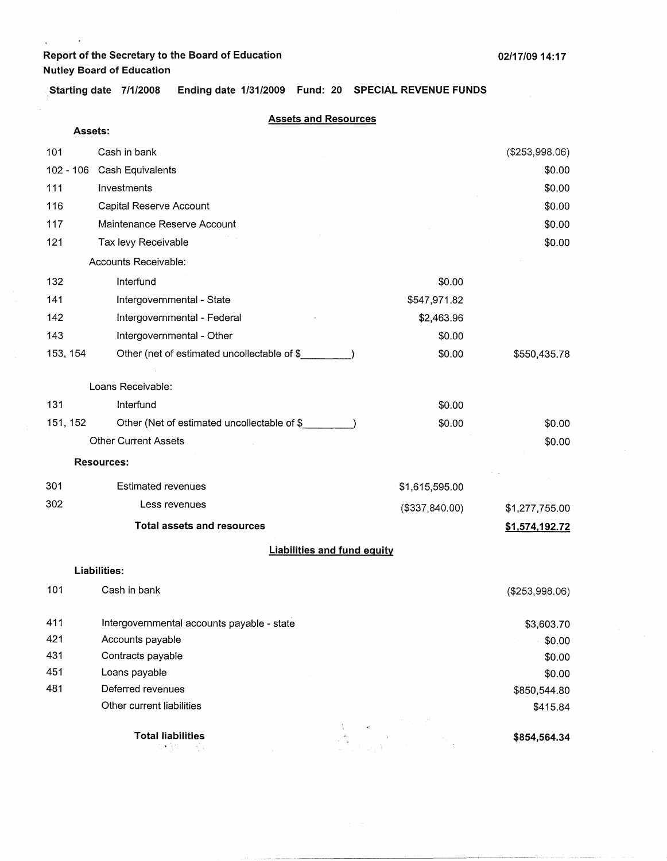$\rightarrow$ 

 $\epsilon$ 

**Starting date 7/1/2008 Ending date 1/31/2009 Fund: 20 SPECIAL REVENUE FUNDS** 

#### **Assets and Resources**

|          | <b>Assets:</b> |                                             |                 |                |
|----------|----------------|---------------------------------------------|-----------------|----------------|
| 101      |                | Cash in bank                                |                 | (\$253,998.06) |
|          |                | 102 - 106 Cash Equivalents                  |                 | \$0.00         |
| 111      |                | Investments                                 |                 | \$0.00         |
| 116      |                | Capital Reserve Account                     |                 | \$0.00         |
| 117      |                | Maintenance Reserve Account                 |                 | \$0.00         |
| 121      |                | Tax levy Receivable                         |                 | \$0.00         |
|          |                | Accounts Receivable:                        |                 |                |
| 132      |                | Interfund                                   | \$0.00          |                |
| 141      |                | Intergovernmental - State                   | \$547,971.82    |                |
| 142      |                | Intergovernmental - Federal                 | \$2,463.96      |                |
| 143      |                | Intergovernmental - Other                   | \$0.00          |                |
| 153, 154 |                | Other (net of estimated uncollectable of \$ | \$0.00          | \$550,435.78   |
|          |                | Loans Receivable:                           |                 |                |
| 131      |                | Interfund                                   | \$0.00          |                |
| 151, 152 |                | Other (Net of estimated uncollectable of \$ | \$0.00          | \$0.00         |
|          |                | <b>Other Current Assets</b>                 |                 | \$0.00         |
|          |                | <b>Resources:</b>                           |                 |                |
| 301      |                | <b>Estimated revenues</b>                   | \$1,615,595.00  |                |
| 302      |                | Less revenues                               | (\$337, 840.00) | \$1,277,755.00 |
|          |                | <b>Total assets and resources</b>           |                 | \$1,574,192.72 |
|          |                | <b>Liabilities and fund equity</b>          |                 |                |
|          |                | <b>Liabilities:</b>                         |                 |                |
| 101      |                | Cash in bank                                |                 | (\$253,998.06) |
| 411      |                | Intergovernmental accounts payable - state  |                 | \$3,603.70     |
| 421      |                | Accounts payable                            |                 | \$0.00         |
| 431      |                | Contracts payable                           |                 | \$0.00         |
| 451      |                | Loans payable                               |                 | \$0.00         |
| 481      |                | Deferred revenues                           |                 | \$850,544.80   |
|          |                | Other current liabilities                   |                 | \$415.84       |
|          |                | <b>Total liabilities</b><br>50 T.N          |                 | \$854,564.34   |

----------~-----~·~-"---------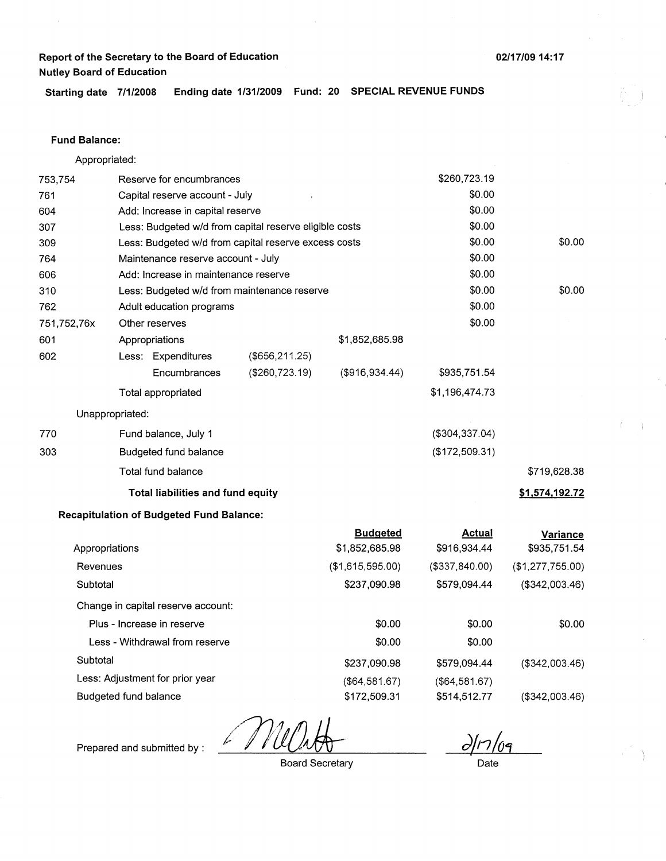Starting date 7/1/2008 Ending date 1/31/2009 Fund: 20 SPECIAL REVENUE FUNDS

#### Fund **Balance:**

753,754 761 604 Appropriated: Reserve for encumbrances Capital reserve account - July Add: Increase in capital reserve 307 309 764 Less: Budgeted w/d from capital reserve eligible costs Less: Budgeted w/d from capital reserve excess costs Maintenance reserve account - July 606 Add: Increase in maintenance reserve 310 762 751,752,76x 601 Less: Budgeted w/d from maintenance reserve Adult education programs Other reserves Appropriations 602 770 303 Less: Expenditures **Encumbrances** Total appropriated Unappropriated: Fund balance, July 1 Budgeted fund balance Total fund balance (\$656,211.25) (\$260,723.19) **Total liabilities and fund equity Recapitulation of Budgeted Fund Balance:**  \$1,852,685.98 (\$916,934.44) **Budgeted**  \$260,723.19 \$0.00 \$0.00 \$0.00 \$0.00 \$0.00 \$0.00 \$0.00 \$0.00 \$0.00 \$935,751.54 \$1,196,474.73 (\$304,337.04) (\$172,509.31) **Actual**  \$0.00 \$0.00 \$719,628.38 **\$1,574,192.72 Variance** 

|                                    | Duuycleu         | Avuuu            | variance         |
|------------------------------------|------------------|------------------|------------------|
| Appropriations                     | \$1,852,685.98   | \$916,934.44     | \$935,751.54     |
| Revenues                           | (\$1,615,595.00) | (\$337,840.00)   | (\$1,277,755.00) |
| Subtotal                           | \$237,090.98     | \$579,094.44     | (\$342,003.46)   |
| Change in capital reserve account: |                  |                  |                  |
| Plus - Increase in reserve         | \$0.00           | \$0.00           | \$0.00           |
| Less - Withdrawal from reserve     | \$0.00           | \$0.00           |                  |
| Subtotal                           | \$237,090.98     | \$579,094.44     | (\$342,003.46)   |
| Less: Adjustment for prior year    | (\$64,581.67)    | $($ \$64,581.67) |                  |
| Budgeted fund balance              | \$172,509.31     | \$514,512.77     | (\$342,003.46)   |

Prepared and submitted by :

Board Secretary

d/17/09

Date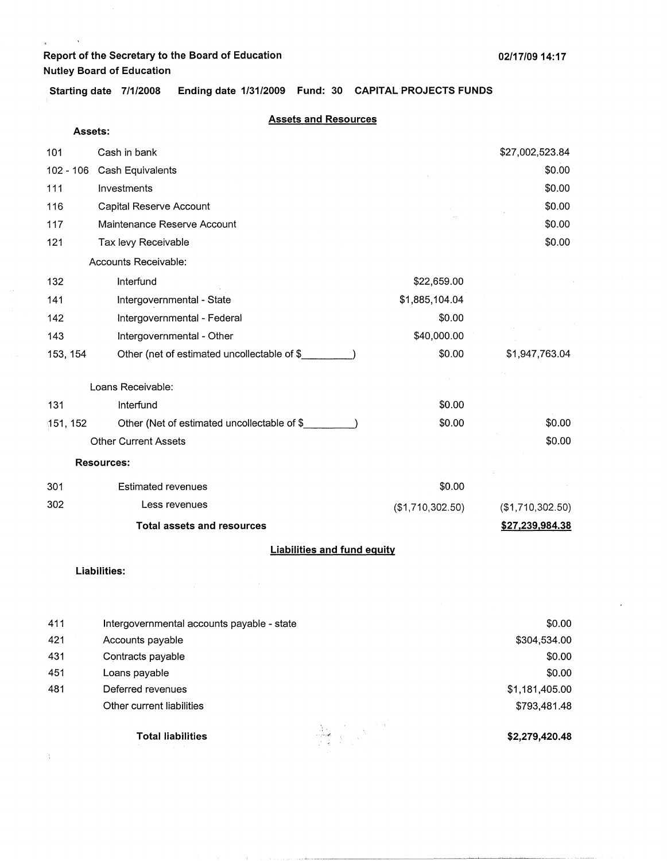**Assets:** 

 $\lambda$ 

 $\hat{\mathbf{v}}$ 

 $\chi$ 

Starting date 7/1/2008 Ending date 1/31/2009 Fund: 30 CAPITAL PROJECTS FUNDS

#### **Assets and Resources**

| 101         | Cash in bank                                 |                  | \$27,002,523.84  |
|-------------|----------------------------------------------|------------------|------------------|
| $102 - 106$ | Cash Equivalents                             |                  | \$0.00           |
| 111         | Investments                                  |                  | \$0.00           |
| 116         | Capital Reserve Account                      |                  | \$0.00           |
| 117         | Maintenance Reserve Account                  |                  | \$0.00           |
| 121         | Tax levy Receivable                          |                  | \$0.00           |
|             | Accounts Receivable:                         |                  |                  |
| 132         | Interfund                                    | \$22,659.00      |                  |
| 141         | Intergovernmental - State                    | \$1,885,104.04   |                  |
| 142         | Intergovernmental - Federal                  | \$0.00           |                  |
| 143         | Intergovernmental - Other                    | \$40,000.00      |                  |
| 153, 154    | Other (net of estimated uncollectable of \$_ | \$0.00           | \$1,947,763.04   |
|             | Loans Receivable:                            |                  |                  |
| 131         | Interfund                                    | \$0.00           |                  |
| 151, 152    | Other (Net of estimated uncollectable of \$  | \$0.00           | \$0.00           |
|             | <b>Other Current Assets</b>                  |                  | \$0.00           |
|             | <b>Resources:</b>                            |                  |                  |
|             |                                              |                  |                  |
| 301         | <b>Estimated revenues</b>                    | \$0.00           |                  |
| 302         | Less revenues                                | (\$1,710,302.50) | (\$1,710,302.50) |
|             | <b>Total assets and resources</b>            |                  | \$27,239,984.38  |
|             | <b>Liabilities and fund equity</b>           |                  |                  |
|             | Liabilities:                                 |                  |                  |

|     | Total liabilities                          | $\frac{1}{2}$ | \$2,279,420.48 |
|-----|--------------------------------------------|---------------|----------------|
|     | Other current liabilities                  |               | \$793,481.48   |
| 481 | Deferred revenues                          |               | \$1,181,405.00 |
| 451 | Loans payable                              |               | \$0.00         |
| 431 | Contracts payable                          |               | \$0.00         |
| 421 | Accounts payable                           |               | \$304,534.00   |
| 411 | Intergovernmental accounts payable - state | \$0.00        |                |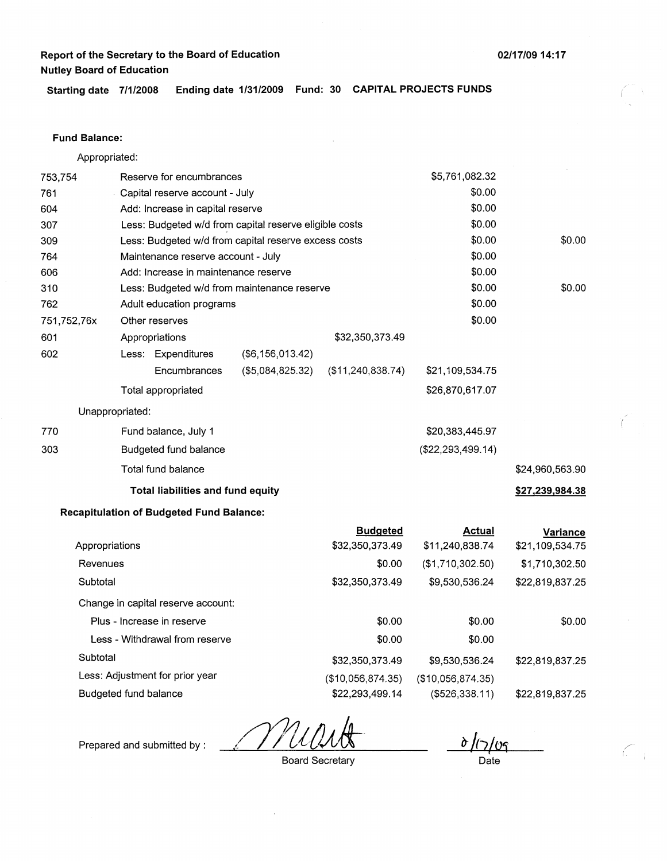*(* 

 $\frac{7}{1}$ 

**Starting date 7/1/2008 Ending date 1/31/2009 Fund: 30 CAPITAL PROJECTS FUNDS** 

#### **Fund Balance:**

Appropriated:

| Reserve for encumbrances<br>753,754 |                                |                                                 |                                                        |                                    | \$5,761,082.32                   |                             |
|-------------------------------------|--------------------------------|-------------------------------------------------|--------------------------------------------------------|------------------------------------|----------------------------------|-----------------------------|
| 761                                 | Capital reserve account - July |                                                 |                                                        |                                    | \$0.00                           |                             |
| 604                                 |                                | Add: Increase in capital reserve                |                                                        |                                    | \$0.00                           |                             |
| 307                                 |                                |                                                 | Less: Budgeted w/d from capital reserve eligible costs |                                    | \$0.00                           |                             |
| 309                                 |                                |                                                 | Less: Budgeted w/d from capital reserve excess costs   |                                    | \$0.00                           | \$0.00                      |
| 764                                 |                                | Maintenance reserve account - July              |                                                        |                                    | \$0.00                           |                             |
| 606                                 |                                | Add: Increase in maintenance reserve            |                                                        |                                    | \$0.00                           |                             |
| 310                                 |                                |                                                 | Less: Budgeted w/d from maintenance reserve            |                                    | \$0.00                           | \$0.00                      |
| 762                                 |                                | Adult education programs                        |                                                        |                                    | \$0.00                           |                             |
| 751,752,76x                         |                                | Other reserves                                  |                                                        |                                    | \$0.00                           |                             |
| 601                                 |                                | Appropriations                                  |                                                        | \$32,350,373.49                    |                                  |                             |
| 602                                 |                                | Less: Expenditures                              | $($ \$6,156,013.42)                                    |                                    |                                  |                             |
|                                     |                                | Encumbrances                                    | (\$5,084,825.32)                                       | (\$11,240,838.74)                  | \$21,109,534.75                  |                             |
|                                     |                                | Total appropriated                              |                                                        |                                    | \$26,870,617.07                  |                             |
|                                     | Unappropriated:                |                                                 |                                                        |                                    |                                  |                             |
| 770                                 |                                | Fund balance, July 1                            |                                                        |                                    | \$20,383,445.97                  |                             |
| 303                                 |                                | Budgeted fund balance                           |                                                        |                                    | (\$22, 293, 499.14)              |                             |
|                                     |                                | Total fund balance                              |                                                        |                                    |                                  | \$24,960,563.90             |
|                                     |                                | <b>Total liabilities and fund equity</b>        |                                                        |                                    |                                  | \$27,239,984.38             |
|                                     |                                | <b>Recapitulation of Budgeted Fund Balance:</b> |                                                        |                                    |                                  |                             |
| Appropriations                      |                                |                                                 |                                                        | <b>Budgeted</b><br>\$32,350,373.49 | <b>Actual</b><br>\$11,240,838.74 | Variance<br>\$21,109,534.75 |
| Revenues                            |                                |                                                 |                                                        | \$0.00                             | (\$1,710,302.50)                 | \$1,710,302.50              |
| Subtotal                            |                                |                                                 |                                                        | \$32,350,373.49                    | \$9,530,536.24                   | \$22,819,837.25             |
|                                     |                                | Change in capital reserve account:              |                                                        |                                    |                                  |                             |
|                                     |                                | Plus - Increase in reserve                      |                                                        | \$0.00                             | \$0.00                           | \$0.00                      |
|                                     |                                | Less - Withdrawal from reserve                  |                                                        | \$0.00                             | \$0.00                           |                             |
| Subtotal                            |                                |                                                 |                                                        | \$32,350,373.49                    | \$9,530,536.24                   | \$22,819,837.25             |
|                                     |                                | Less: Adjustment for prior year                 |                                                        | (\$10,056,874.35)                  | (\$10,056,874.35)                |                             |
|                                     | Budgeted fund balance          |                                                 |                                                        | \$22,293,499.14                    | ( \$526, 338.11)                 | \$22,819,837.25             |

<u>d/17/09</u>

Prepared and submitted by :

 $\sim$ 

Board Secretary

Date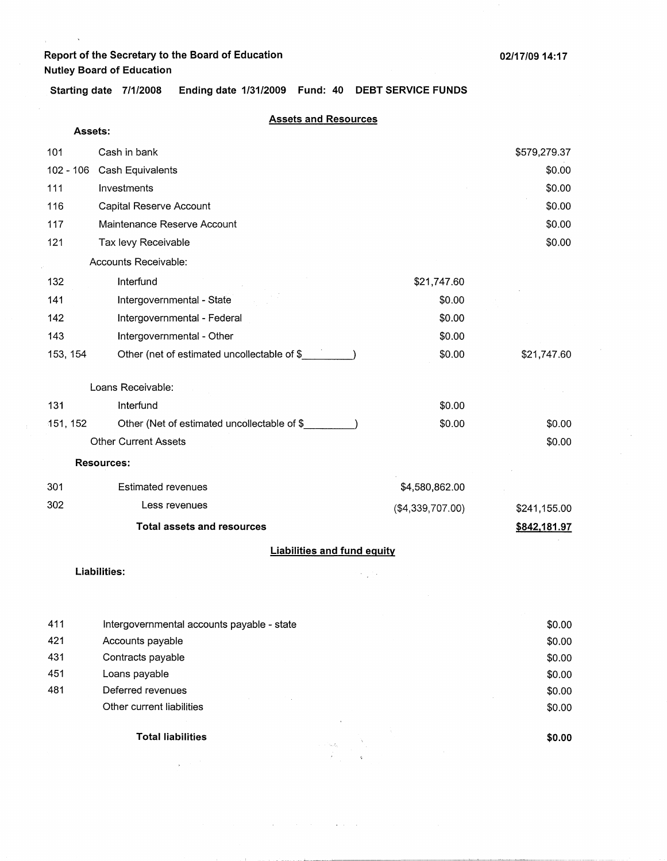**Assets:** 

 $\Delta$ 

 $\bar{\rm s}$ 

**Starting date 7/1/2008 Ending date 1/31/2009 Fund: 40 DEBT SERVICE FUNDS** 

#### **Assets and Resources**

| 101       | Cash in bank                                |                  | \$579,279.37 |
|-----------|---------------------------------------------|------------------|--------------|
| 102 - 106 | Cash Equivalents                            |                  | \$0.00       |
| 111       | Investments                                 |                  | \$0.00       |
| 116       | Capital Reserve Account                     |                  | \$0.00       |
| 117       | Maintenance Reserve Account                 |                  | \$0.00       |
| 121       | Tax levy Receivable                         |                  | \$0.00       |
|           | Accounts Receivable:                        |                  |              |
| 132       | Interfund                                   | \$21,747.60      |              |
| 141       | Intergovernmental - State                   | \$0.00           |              |
| 142       | Intergovernmental - Federal                 | \$0.00           |              |
| 143       | Intergovernmental - Other                   | \$0.00           |              |
| 153, 154  | Other (net of estimated uncollectable of \$ | \$0.00           | \$21,747.60  |
|           | Loans Receivable:                           |                  |              |
| 131       | Interfund                                   | \$0.00           |              |
| 151, 152  | Other (Net of estimated uncollectable of \$ | \$0.00           | \$0.00       |
|           | <b>Other Current Assets</b>                 |                  | \$0.00       |
|           | <b>Resources:</b>                           |                  |              |
| 301       | <b>Estimated revenues</b>                   | \$4,580,862.00   |              |
| 302       | Less revenues                               | (\$4,339,707.00) | \$241,155.00 |
|           | <b>Total assets and resources</b>           |                  | \$842,181.97 |
|           | <b>Liabilities and fund equity</b>          |                  |              |
|           | Liabilities:                                |                  |              |

|     | <b>Total liabilities</b><br>$\tau \rightarrow \tau^* \tau_{\rm in} f_{\rm in}$ | \$0.00 |  |
|-----|--------------------------------------------------------------------------------|--------|--|
|     | Other current liabilities                                                      | \$0.00 |  |
| 481 | Deferred revenues                                                              | \$0.00 |  |
| 451 | Loans payable                                                                  | \$0.00 |  |
| 431 | Contracts payable                                                              | \$0.00 |  |
| 421 | Accounts payable                                                               | \$0.00 |  |
| 411 | Intergovernmental accounts payable - state                                     |        |  |

 $\Delta \phi$  and  $\Delta \phi$  is the set of the following  $\Delta \phi$ 

 $\bar{\lambda}$ 

Shine.

 $\sim 10$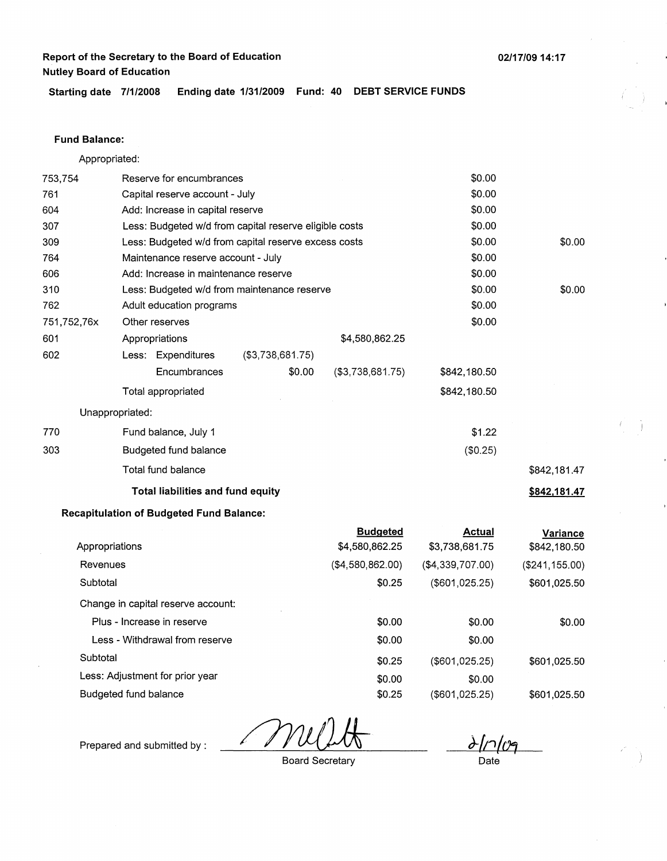**Starting date 7/1/2008 Ending date 1/31/2009 Fund: 40 DEBT SERVICE FUNDS** 

### **Fund Balance:**

Appropriated:

| 753,754     | Reserve for encumbrances |                                                 |                                                        |                                   | \$0.00                          |                                 |
|-------------|--------------------------|-------------------------------------------------|--------------------------------------------------------|-----------------------------------|---------------------------------|---------------------------------|
| 761         |                          | Capital reserve account - July                  |                                                        |                                   | \$0.00                          |                                 |
| 604         |                          | Add: Increase in capital reserve                |                                                        |                                   | \$0.00                          |                                 |
| 307         |                          |                                                 | Less: Budgeted w/d from capital reserve eligible costs |                                   | \$0.00                          |                                 |
| 309         |                          |                                                 | Less: Budgeted w/d from capital reserve excess costs   |                                   | \$0.00                          | \$0.00                          |
| 764         |                          | Maintenance reserve account - July              |                                                        |                                   | \$0.00                          |                                 |
| 606         |                          | Add: Increase in maintenance reserve            |                                                        |                                   | \$0.00                          |                                 |
| 310         |                          |                                                 | Less: Budgeted w/d from maintenance reserve            |                                   | \$0.00                          | \$0.00                          |
| 762         |                          | Adult education programs                        |                                                        |                                   | \$0.00                          |                                 |
| 751,752,76x |                          | Other reserves                                  |                                                        |                                   | \$0.00                          |                                 |
| 601         |                          | Appropriations                                  |                                                        | \$4,580,862.25                    |                                 |                                 |
| 602         |                          | Less: Expenditures                              | (\$3,738,681.75)                                       |                                   |                                 |                                 |
|             |                          | Encumbrances                                    | \$0.00                                                 | ( \$3,738,681.75)                 | \$842,180.50                    |                                 |
|             |                          | Total appropriated                              |                                                        |                                   | \$842,180.50                    |                                 |
|             | Unappropriated:          |                                                 |                                                        |                                   |                                 |                                 |
| 770         |                          | Fund balance, July 1                            |                                                        |                                   | \$1.22                          |                                 |
| 303         |                          | Budgeted fund balance                           |                                                        |                                   | (\$0.25)                        |                                 |
|             |                          | Total fund balance                              |                                                        |                                   |                                 | \$842,181.47                    |
|             |                          | Total liabilities and fund equity               |                                                        |                                   |                                 | \$842,181.47                    |
|             |                          | <b>Recapitulation of Budgeted Fund Balance:</b> |                                                        |                                   |                                 |                                 |
|             | Appropriations           |                                                 |                                                        | <b>Budgeted</b><br>\$4,580,862.25 | <b>Actual</b><br>\$3,738,681.75 | <b>Variance</b><br>\$842,180.50 |
| Revenues    |                          |                                                 |                                                        | (\$4,580,862.00)                  | (\$4,339,707.00)                | (\$241, 155.00)                 |
| Subtotal    |                          |                                                 |                                                        | \$0.25                            | (\$601,025.25)                  | \$601,025.50                    |
|             |                          | Change in capital reserve account:              |                                                        |                                   |                                 |                                 |
|             |                          | Plus - Increase in reserve                      |                                                        | \$0.00                            | \$0.00                          | \$0.00                          |
|             |                          | Less - Withdrawal from reserve                  |                                                        | \$0.00                            | \$0.00                          |                                 |
| Subtotal    |                          |                                                 |                                                        | \$0.25                            | (\$601,025.25)                  | \$601,025.50                    |
|             |                          | Less: Adjustment for prior year                 |                                                        | \$0.00                            | \$0.00                          |                                 |
|             | Budgeted fund balance    |                                                 |                                                        | \$0.25                            | (\$601,025.25)                  | \$601,025.50                    |

 $\frac{\partial}{\partial n}$ 

Prepared and submitted by :

Board Secretary

**02/17/0914:17** 

Date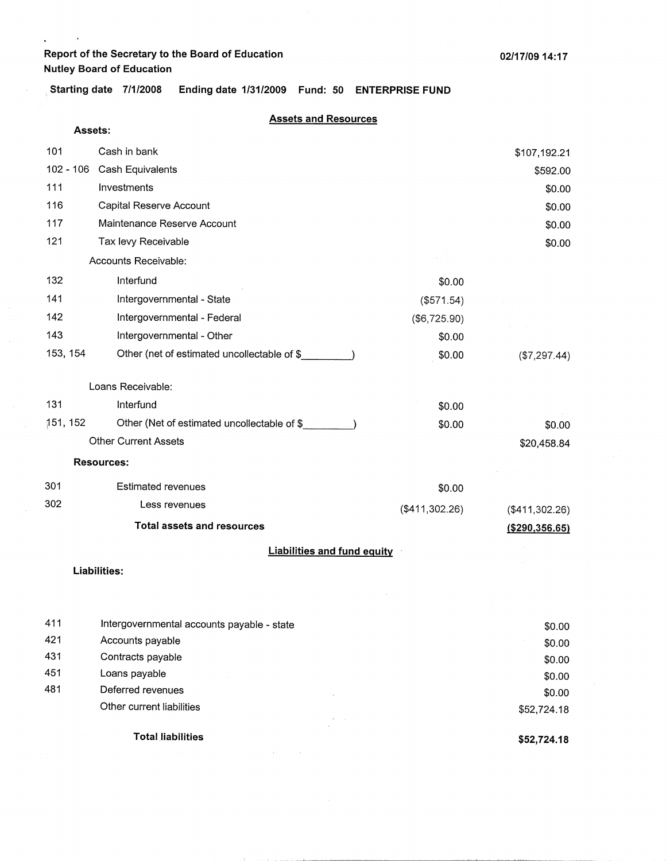$\hat{\mathbf{A}}$ 

 $\Delta$ 

, **Starting date 7/1/2008 Ending date 1/31/2009 Fund: 50 ENTERPRISE FUND** 

#### **Assets and Resources**

|            | Assets:                                     |                |                  |
|------------|---------------------------------------------|----------------|------------------|
| 101        | Cash in bank                                |                | \$107,192.21     |
| 102 - 106  | Cash Equivalents                            |                | \$592.00         |
| 111        | Investments                                 |                | \$0.00           |
| 116        | Capital Reserve Account                     |                | \$0.00           |
| 117        | Maintenance Reserve Account                 |                | \$0.00           |
| 121        | Tax levy Receivable                         |                | \$0.00           |
|            | Accounts Receivable:                        |                |                  |
| 132        | Interfund                                   | \$0.00         |                  |
| 141        | Intergovernmental - State                   | (\$571.54)     |                  |
| 142        | Intergovernmental - Federal                 | (\$6,725.90)   |                  |
| 143        | Intergovernmental - Other                   | \$0.00         |                  |
| 153, 154   | Other (net of estimated uncollectable of \$ | \$0.00         | (\$7,297.44)     |
|            |                                             |                |                  |
|            | Loans Receivable:                           |                |                  |
| 131        | Interfund                                   | \$0.00         |                  |
| 151, 152   | Other (Net of estimated uncollectable of \$ | \$0.00         | \$0.00           |
|            | <b>Other Current Assets</b>                 |                | \$20,458.84      |
|            | <b>Resources:</b>                           |                |                  |
| 301        | <b>Estimated revenues</b>                   | \$0.00         |                  |
| 302        | Less revenues                               | (\$411,302.26) | (\$411,302.26)   |
|            | <b>Total assets and resources</b>           |                | ( \$290, 356.65) |
|            | <b>Liabilities and fund equity</b>          |                |                  |
|            | <b>Liabilities:</b>                         |                |                  |
|            |                                             |                |                  |
|            |                                             |                |                  |
| 411<br>421 | Intergovernmental accounts payable - state  |                | \$0.00           |
| 431        | Accounts payable<br>Contracts payable       |                | \$0.00           |
| 451        | Loans payable                               |                | \$0.00           |
| 481        | Deferred revenues                           |                | \$0.00<br>\$0.00 |
|            | Other current liabilities                   |                | \$52,724.18      |
|            |                                             |                |                  |
|            | <b>Total liabilities</b>                    |                | \$52,724.18      |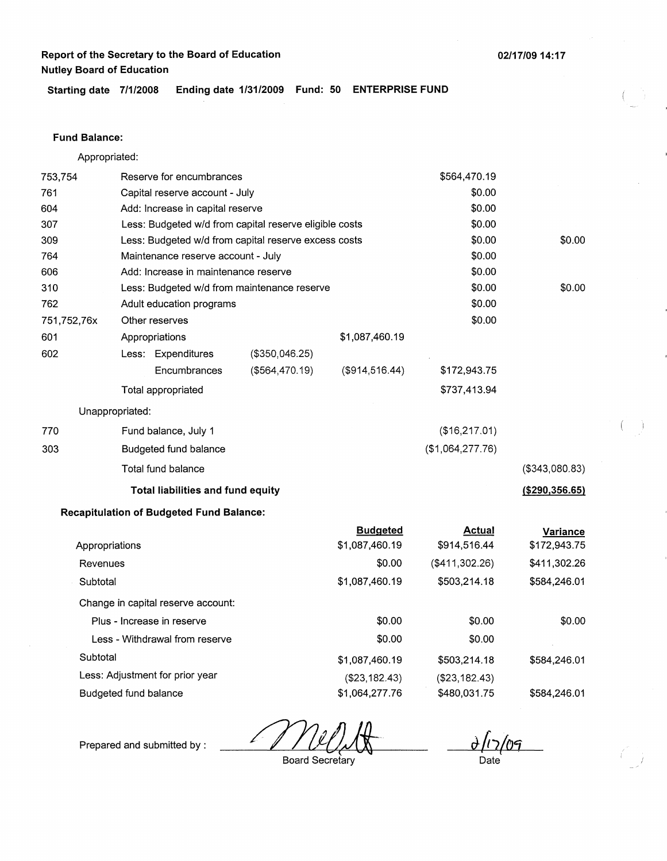**Starting date 7/1/2008 Ending date 1/31/2009 Fund: 50 ENTERPRISE FUND** 

### **Fund Balance:**

Appropriated:

| 753,754     |                       | Reserve for encumbrances                               |                                                      |                                   | \$564,470.19                  |                                 |
|-------------|-----------------------|--------------------------------------------------------|------------------------------------------------------|-----------------------------------|-------------------------------|---------------------------------|
| 761         |                       | Capital reserve account - July                         |                                                      |                                   | \$0.00                        |                                 |
| 604         |                       | Add: Increase in capital reserve                       |                                                      |                                   | \$0.00                        |                                 |
| 307         |                       | Less: Budgeted w/d from capital reserve eligible costs |                                                      |                                   | \$0.00                        |                                 |
| 309         |                       |                                                        | Less: Budgeted w/d from capital reserve excess costs |                                   | \$0.00                        | \$0.00                          |
| 764         |                       | Maintenance reserve account - July                     |                                                      |                                   | \$0.00                        |                                 |
| 606         |                       | Add: Increase in maintenance reserve                   |                                                      |                                   | \$0.00                        |                                 |
| 310         |                       |                                                        | Less: Budgeted w/d from maintenance reserve          |                                   | \$0.00                        | \$0.00                          |
| 762         |                       | Adult education programs                               |                                                      |                                   | \$0.00                        |                                 |
| 751,752,76x |                       | Other reserves                                         |                                                      |                                   | \$0.00                        |                                 |
| 601         |                       | Appropriations                                         |                                                      | \$1,087,460.19                    |                               |                                 |
| 602         |                       | Less: Expenditures                                     | (\$350,046.25)                                       |                                   |                               |                                 |
|             |                       | Encumbrances                                           | ( \$564,470.19)                                      | (\$914,516.44)                    | \$172,943.75                  |                                 |
|             |                       | Total appropriated                                     |                                                      |                                   | \$737,413.94                  |                                 |
|             | Unappropriated:       |                                                        |                                                      |                                   |                               |                                 |
| 770         |                       | Fund balance, July 1                                   |                                                      |                                   | (\$16,217.01)                 |                                 |
| 303         |                       | Budgeted fund balance                                  |                                                      |                                   | (\$1,064,277.76)              |                                 |
|             |                       | Total fund balance                                     |                                                      |                                   |                               | (\$343,080.83)                  |
|             |                       | Total liabilities and fund equity                      |                                                      |                                   |                               | (\$290,356.65)                  |
|             |                       | <b>Recapitulation of Budgeted Fund Balance:</b>        |                                                      |                                   |                               |                                 |
|             | Appropriations        |                                                        |                                                      | <b>Budgeted</b><br>\$1,087,460.19 | <b>Actual</b><br>\$914,516.44 | <b>Variance</b><br>\$172,943.75 |
| Revenues    |                       |                                                        |                                                      | \$0.00                            | (\$411,302.26)                | \$411,302.26                    |
| Subtotal    |                       |                                                        |                                                      | \$1,087,460.19                    | \$503,214.18                  | \$584,246.01                    |
|             |                       | Change in capital reserve account:                     |                                                      |                                   |                               |                                 |
|             |                       | Plus - Increase in reserve                             |                                                      | \$0.00                            | \$0.00                        | \$0.00                          |
|             |                       | Less - Withdrawal from reserve                         |                                                      | \$0.00                            | \$0.00                        |                                 |
| Subtotal    |                       |                                                        |                                                      | \$1,087,460.19                    | \$503,214.18                  | \$584,246.01                    |
|             |                       | Less: Adjustment for prior year                        |                                                      | (\$23,182.43)                     | ( \$23, 182.43)               |                                 |
|             | Budgeted fund balance |                                                        |                                                      | \$1,064,277.76                    | \$480,031.75                  | \$584,246.01                    |

 $\frac{\partial}{\partial \cos \theta}$ Date

Prepared and submitted by :

Board Secretary

**02/17/09 14:17**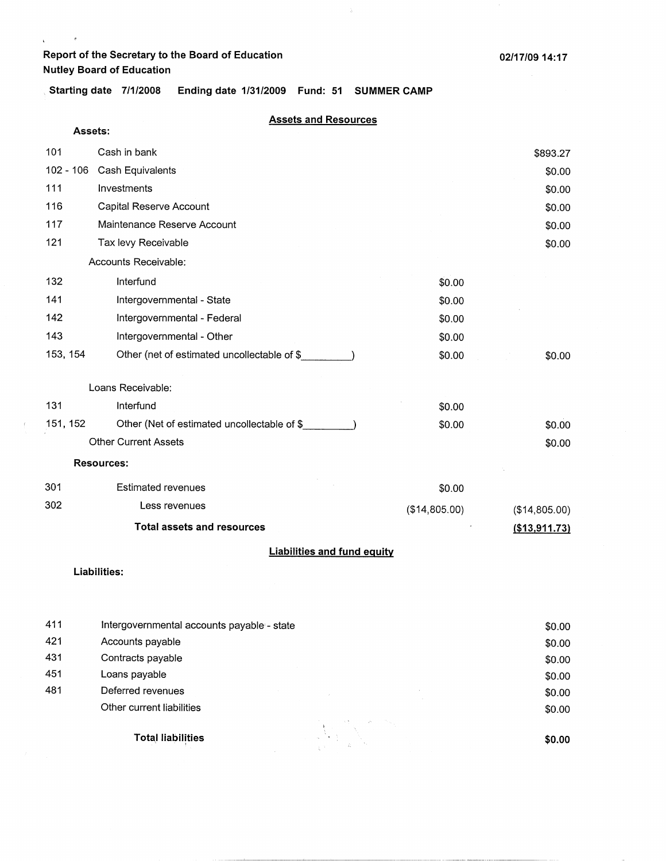**Assets:** 

 $\begin{array}{ccc} \mathbf{r} & \mathbf{r} & \mathbf{r} \\ \mathbf{r} & \mathbf{r} & \mathbf{r} \end{array}$ 

.. **Starting date 7/1/2008 Ending date 1/31/2009 Fund: 51 SUMMER CAMP** 

### **Assets and Resources**

 $\lambda$ 

| 101         | Cash in bank                                 |               | \$893.27      |  |  |
|-------------|----------------------------------------------|---------------|---------------|--|--|
| $102 - 106$ | Cash Equivalents                             |               | \$0.00        |  |  |
| 111         | Investments                                  |               | \$0.00        |  |  |
| 116         | Capital Reserve Account                      |               | \$0.00        |  |  |
| 117         | Maintenance Reserve Account                  |               | \$0.00        |  |  |
| 121         | Tax levy Receivable                          |               | \$0.00        |  |  |
|             | Accounts Receivable:                         |               |               |  |  |
| 132         | Interfund                                    | \$0.00        |               |  |  |
| 141         | Intergovernmental - State                    | \$0.00        |               |  |  |
| 142         | Intergovernmental - Federal                  | \$0.00        |               |  |  |
| 143         | Intergovernmental - Other                    | \$0.00        |               |  |  |
| 153, 154    | Other (net of estimated uncollectable of \$  | \$0.00        | \$0.00        |  |  |
|             | Loans Receivable:                            |               |               |  |  |
| 131         | Interfund                                    | \$0.00        |               |  |  |
| 151, 152    | Other (Net of estimated uncollectable of \$_ | \$0.00        | \$0.00        |  |  |
|             | <b>Other Current Assets</b>                  |               | \$0.00        |  |  |
|             | <b>Resources:</b>                            |               |               |  |  |
| 301         | <b>Estimated revenues</b>                    | \$0.00        |               |  |  |
| 302         | Less revenues                                | (\$14,805.00) | (\$14,805.00) |  |  |
|             | <b>Total assets and resources</b>            |               | (\$13,911.73) |  |  |
|             | <b>Liabilities and fund equity</b>           |               |               |  |  |
|             | l iahilities <sup>.</sup>                    |               |               |  |  |

**Liabilities:** 

 $\langle$ 

| 411 | Intergovernmental accounts payable - state | \$0.00 |
|-----|--------------------------------------------|--------|
| 421 | Accounts payable                           | \$0.00 |
| 431 | Contracts payable                          | \$0.00 |
| 451 | Loans payable                              | \$0.00 |
| 481 | Deferred revenues                          | \$0.00 |
|     | Other current liabilities                  | \$0.00 |
|     | <b>Total liabilities</b>                   | \$0.00 |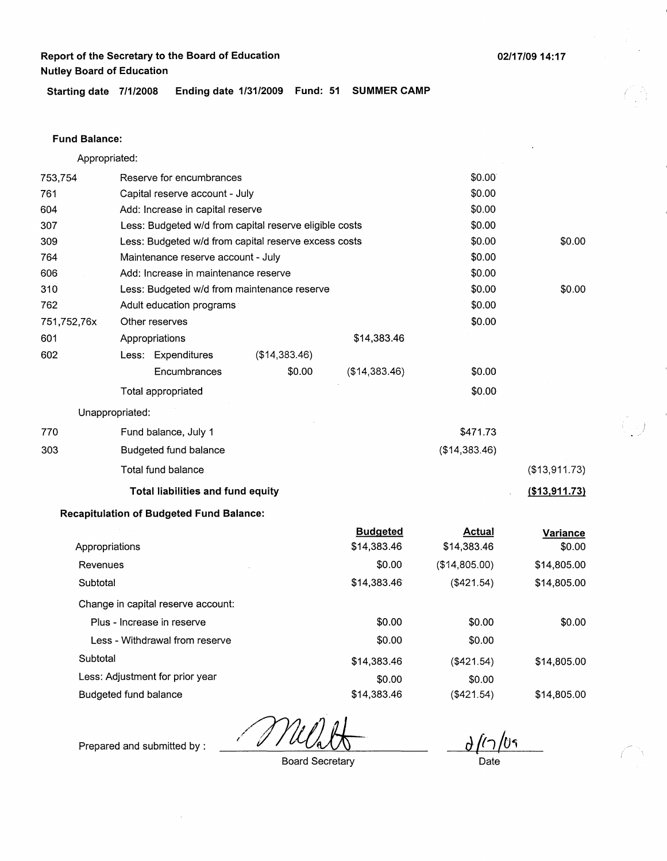**02/17/0914:17** 

) . /

**Starting date 7/1/2008 Ending date 1/31/2009 Fund: 51 SUMMER CAMP** 

### **Fund Balance:**

|             | Appropriated:                                          |               |                 |               |               |
|-------------|--------------------------------------------------------|---------------|-----------------|---------------|---------------|
| 753,754     | Reserve for encumbrances                               |               |                 | \$0.00        |               |
| 761         | Capital reserve account - July                         |               |                 | \$0.00        |               |
| 604         | Add: Increase in capital reserve                       |               |                 | \$0.00        |               |
| 307         | Less: Budgeted w/d from capital reserve eligible costs |               |                 | \$0.00        |               |
| 309         | Less: Budgeted w/d from capital reserve excess costs   |               |                 | \$0.00        | \$0.00        |
| 764         | Maintenance reserve account - July                     |               |                 | \$0.00        |               |
| 606         | Add: Increase in maintenance reserve                   |               |                 | \$0.00        |               |
| 310         | Less: Budgeted w/d from maintenance reserve            |               |                 | \$0.00        | \$0.00        |
| 762         | Adult education programs                               |               |                 | \$0.00        |               |
| 751,752,76x | Other reserves                                         |               |                 | \$0.00        |               |
| 601         | Appropriations                                         |               | \$14,383.46     |               |               |
| 602         | Less: Expenditures                                     | (\$14,383.46) |                 |               |               |
|             | Encumbrances                                           | \$0.00        | (\$14,383.46)   | \$0.00        |               |
|             | Total appropriated                                     |               |                 | \$0.00        |               |
|             | Unappropriated:                                        |               |                 |               |               |
| 770         | Fund balance, July 1                                   |               |                 | \$471.73      |               |
| 303         | Budgeted fund balance                                  |               |                 | (\$14,383.46) |               |
|             | Total fund balance                                     |               |                 |               | (\$13,911.73) |
|             | Total liabilities and fund equity                      |               |                 |               | (\$13,911.73) |
|             | <b>Recapitulation of Budgeted Fund Balance:</b>        |               |                 |               |               |
|             |                                                        |               | <b>Budgeted</b> | <b>Actual</b> | Variance      |
|             | Appropriations                                         |               | \$14,383.46     | \$14,383.46   | \$0.00        |
| Revenues    |                                                        |               | \$0.00          | (\$14,805.00) | \$14,805.00   |
| Subtotal    |                                                        |               | \$14,383.46     | (\$421.54)    | \$14,805.00   |
|             | Change in capital reserve account:                     |               |                 |               |               |
|             | Plus - Increase in reserve                             |               | \$0.00          | \$0.00        | \$0.00        |
|             | Less - Withdrawal from reserve                         |               | \$0.00          | \$0.00        |               |
| Subtotal    |                                                        |               | \$14,383.46     | (\$421.54)    | \$14,805.00   |
|             | Less: Adjustment for prior year                        |               | \$0.00          | \$0.00        |               |
|             | Budgeted fund balance                                  |               | \$14,383.46     | (\$421.54)    | \$14,805.00   |

 $\partial / I$ 

Prepared and submitted by :

Board Secretary

Date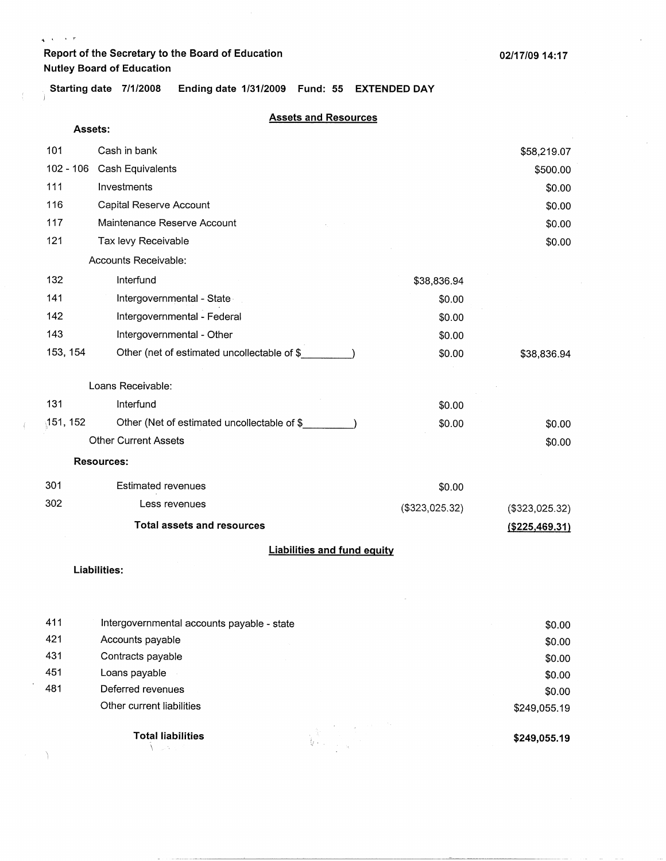$\sqrt{\lambda}$  ,  $\lambda$  ,  $\lambda$  ,  $\tau$ 

ì.

**Starting date 7/1/2008 Ending date 1/31/2009 Fund: 55 EXTENDED DAY** 

#### **Assets and Resources**

| Assets:                            |                                             |                |                 |  |  |
|------------------------------------|---------------------------------------------|----------------|-----------------|--|--|
| 101                                | Cash in bank                                |                | \$58,219.07     |  |  |
| $102 - 106$                        | Cash Equivalents                            |                | \$500.00        |  |  |
| 111                                | Investments                                 |                | \$0.00          |  |  |
| 116                                | Capital Reserve Account                     |                | \$0.00          |  |  |
| 117                                | Maintenance Reserve Account                 |                | \$0.00          |  |  |
| 121                                | Tax levy Receivable                         |                | \$0.00          |  |  |
|                                    | Accounts Receivable:                        |                |                 |  |  |
| 132                                | Interfund                                   | \$38,836.94    |                 |  |  |
| 141                                | Intergovernmental - State                   | \$0.00         |                 |  |  |
| 142                                | Intergovernmental - Federal                 | \$0.00         |                 |  |  |
| 143                                | Intergovernmental - Other                   | \$0.00         |                 |  |  |
| 153, 154                           | Other (net of estimated uncollectable of \$ | \$0.00         | \$38,836.94     |  |  |
|                                    | Loans Receivable:                           |                |                 |  |  |
| 131                                | Interfund                                   | \$0.00         |                 |  |  |
| 151, 152                           | Other (Net of estimated uncollectable of \$ | \$0.00         | \$0.00          |  |  |
|                                    | <b>Other Current Assets</b>                 |                | \$0.00          |  |  |
|                                    | <b>Resources:</b>                           |                |                 |  |  |
| 301                                | <b>Estimated revenues</b>                   | \$0.00         |                 |  |  |
| 302                                | Less revenues                               | (\$323,025.32) | (\$323,025.32)  |  |  |
|                                    | <b>Total assets and resources</b>           |                | ( \$225,469.31) |  |  |
| <b>Liabilities and fund equity</b> |                                             |                |                 |  |  |
|                                    | Liabilities:                                |                |                 |  |  |
|                                    |                                             |                |                 |  |  |
| 411                                | Intergovernmental accounts payable - state  |                | \$0.00          |  |  |
| 421                                | Accounts payable                            |                | \$0.00          |  |  |
| 431                                | Contracts payable                           |                | \$0.00          |  |  |
| 451                                | Loans payable                               |                | \$0.00          |  |  |

Other current liabilities

Deferred revenues

481

Ĵ.

 $\left($ 

**Total liabilities**  \ :.;·.

**\$249,055.19** 

\$249,055.19

\$0.00